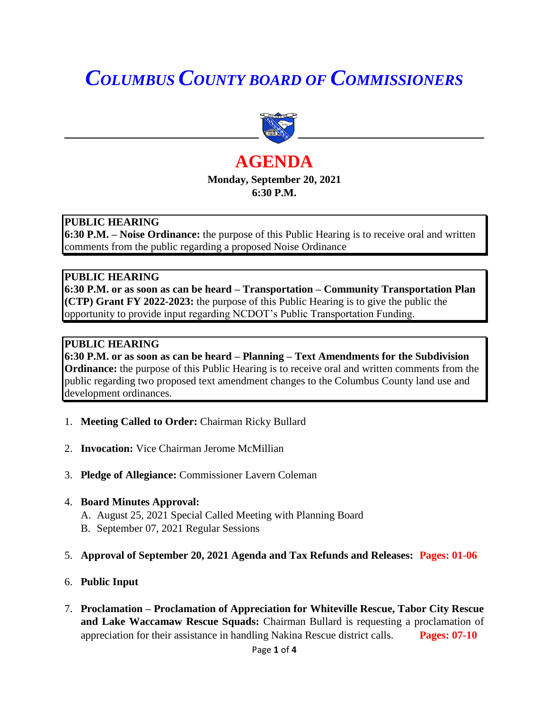# *COLUMBUS COUNTY BOARD OF COMMISSIONERS*



# **AGENDA Monday, September 20, 2021 6:30 P.M.**

### **PUBLIC HEARING**

**6:30 P.M. – Noise Ordinance:** the purpose of this Public Hearing is to receive oral and written comments from the public regarding a proposed Noise Ordinance

#### **PUBLIC HEARING**

**6:30 P.M. or as soon as can be heard – Transportation – Community Transportation Plan (CTP) Grant FY 2022-2023:** the purpose of this Public Hearing is to give the public the opportunity to provide input regarding NCDOT's Public Transportation Funding.

#### **PUBLIC HEARING**

**6:30 P.M. or as soon as can be heard – Planning – Text Amendments for the Subdivision Ordinance:** the purpose of this Public Hearing is to receive oral and written comments from the public regarding two proposed text amendment changes to the Columbus County land use and development ordinances.

- 1. **Meeting Called to Order:** Chairman Ricky Bullard
- 2. **Invocation:** Vice Chairman Jerome McMillian
- 3. **Pledge of Allegiance:** Commissioner Lavern Coleman
- 4. **Board Minutes Approval:**
	- A. August 25, 2021 Special Called Meeting with Planning Board B. September 07, 2021 Regular Sessions
- 5. **Approval of September 20, 2021 Agenda and Tax Refunds and Releases: Pages: 01-06**
- 6. **Public Input**
- 7. **Proclamation – Proclamation of Appreciation for Whiteville Rescue, Tabor City Rescue and Lake Waccamaw Rescue Squads:** Chairman Bullard is requesting a proclamation of appreciation for their assistance in handling Nakina Rescue district calls. **Pages: 07-10**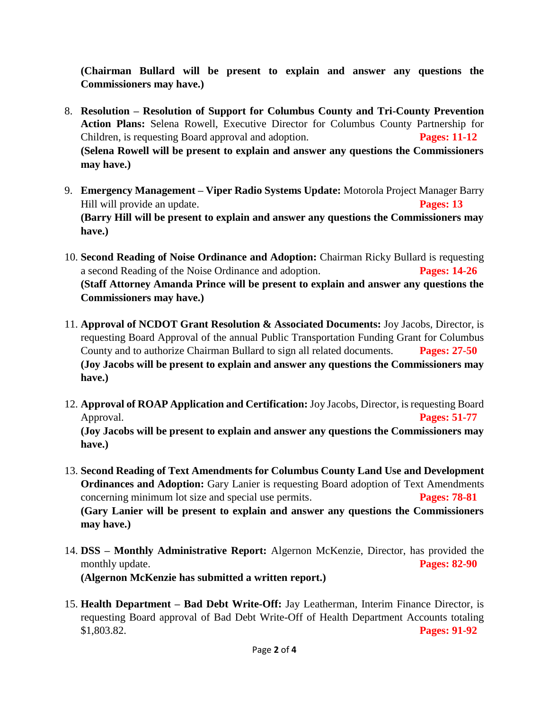**(Chairman Bullard will be present to explain and answer any questions the Commissioners may have.)**

- 8. **Resolution – Resolution of Support for Columbus County and Tri-County Prevention Action Plans:** Selena Rowell, Executive Director for Columbus County Partnership for Children, is requesting Board approval and adoption. **Pages: 11-12 (Selena Rowell will be present to explain and answer any questions the Commissioners may have.)**
- 9. **Emergency Management – Viper Radio Systems Update:** Motorola Project Manager Barry Hill will provide an update. **Pages: 13 (Barry Hill will be present to explain and answer any questions the Commissioners may have.)**
- 10. **Second Reading of Noise Ordinance and Adoption:** Chairman Ricky Bullard is requesting a second Reading of the Noise Ordinance and adoption. **Pages: 14-26 (Staff Attorney Amanda Prince will be present to explain and answer any questions the Commissioners may have.)**
- 11. **Approval of NCDOT Grant Resolution & Associated Documents:** Joy Jacobs, Director, is requesting Board Approval of the annual Public Transportation Funding Grant for Columbus County and to authorize Chairman Bullard to sign all related documents. **Pages: 27-50 (Joy Jacobs will be present to explain and answer any questions the Commissioners may have.)**
- 12. **Approval of ROAP Application and Certification:** Joy Jacobs, Director, is requesting Board Approval. **Pages: 51-77 (Joy Jacobs will be present to explain and answer any questions the Commissioners may have.)**
- 13. **Second Reading of Text Amendments for Columbus County Land Use and Development Ordinances and Adoption:** Gary Lanier is requesting Board adoption of Text Amendments concerning minimum lot size and special use permits. **Pages: 78-81 (Gary Lanier will be present to explain and answer any questions the Commissioners may have.)**
- 14. **DSS – Monthly Administrative Report:** Algernon McKenzie, Director, has provided the monthly update. **Pages: 82-90 (Algernon McKenzie has submitted a written report.)**
- 15. **Health Department – Bad Debt Write-Off:** Jay Leatherman, Interim Finance Director, is requesting Board approval of Bad Debt Write-Off of Health Department Accounts totaling \$1,803.82. **Pages: 91-92**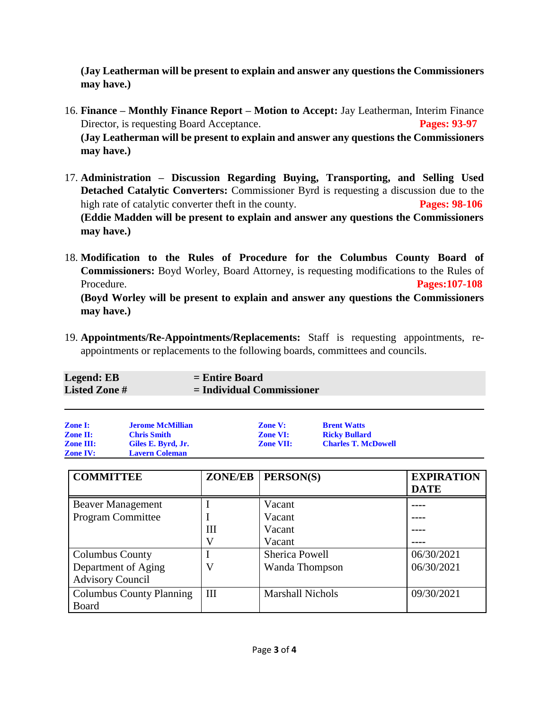**(Jay Leatherman will be present to explain and answer any questions the Commissioners may have.)**

- 16. **Finance – Monthly Finance Report – Motion to Accept:** Jay Leatherman, Interim Finance Director, is requesting Board Acceptance. **Pages: 93-97 (Jay Leatherman will be present to explain and answer any questions the Commissioners may have.)**
- 17. **Administration – Discussion Regarding Buying, Transporting, and Selling Used Detached Catalytic Converters:** Commissioner Byrd is requesting a discussion due to the high rate of catalytic converter theft in the county. **Pages: 98-106 (Eddie Madden will be present to explain and answer any questions the Commissioners may have.)**
- 18. **Modification to the Rules of Procedure for the Columbus County Board of Commissioners:** Boyd Worley, Board Attorney, is requesting modifications to the Rules of Procedure. **Pages:107-108 (Boyd Worley will be present to explain and answer any questions the Commissioners may have.)**
- 19. **Appointments/Re-Appointments/Replacements:** Staff is requesting appointments, reappointments or replacements to the following boards, committees and councils.

| <b>Legend: EB</b>    | $=$ Entire Board            |
|----------------------|-----------------------------|
| <b>Listed Zone #</b> | $=$ Individual Commissioner |
|                      |                             |

| <b>Zone I:</b>   | <b>Jerome McMillian</b> | <b>Zone V:</b>   | <b>Brent Watts</b>         |
|------------------|-------------------------|------------------|----------------------------|
| <b>Zone II:</b>  | <b>Chris Smith</b>      | <b>Zone VI:</b>  | <b>Ricky Bullard</b>       |
| <b>Zone III:</b> | Giles E. Byrd, Jr.      | <b>Zone VII:</b> | <b>Charles T. McDowell</b> |
| <b>Zone IV:</b>  | <b>Lavern Coleman</b>   |                  |                            |

| <b>COMMITTEE</b>                | <b>ZONE/EB</b> | PERSON(S)               | <b>EXPIRATION</b><br><b>DATE</b> |
|---------------------------------|----------------|-------------------------|----------------------------------|
| <b>Beaver Management</b>        |                | Vacant                  |                                  |
| <b>Program Committee</b>        |                | Vacant                  |                                  |
|                                 | Ш              | Vacant                  |                                  |
|                                 | V              | Vacant                  |                                  |
| <b>Columbus County</b>          |                | Sherica Powell          | 06/30/2021                       |
| Department of Aging             | V              | Wanda Thompson          | 06/30/2021                       |
| <b>Advisory Council</b>         |                |                         |                                  |
| <b>Columbus County Planning</b> | III            | <b>Marshall Nichols</b> | 09/30/2021                       |
| Board                           |                |                         |                                  |